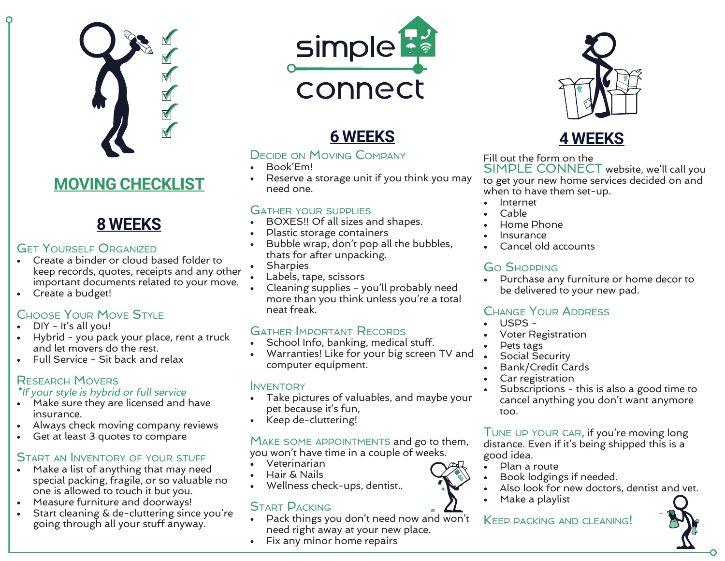

# **MOVING CHECKLIST**

# **8 WEEKS**

#### **GET YOURSELF ORGANIZED**

- Create a binder or cloud based folder to keep records, quotes, receipts and any other important documents related to your move.
- Create a budget!

#### Choose Your Move Style

- DIY It's all you!
- Hybrid you pack your place, rent a truck and let movers do the rest.
- Full Service Sit back and relax

#### Research Movers

#### \*If your style is hybrid or full service

- Make sure they are licensed and have insurance.
- Always check moving company reviews
- Get at least 3 quotes to compare

#### START AN INVENTORY OF YOUR STUFF

- Make a list of anything that may need special packing, fragile, or so valuable no one is allowed to touch it but you.
- Measure furniture and doorways!
- Start cleaning & de-cluttering since you're going through all your stuff anyway.



# **6 WEEKS 4 WEEKS**

#### Decide on Moving Company

- Book'Em!
- Reserve a storage unit if you think you may need one.

#### Gather your supplies

- BOXES!! Of all sizes and shapes.
- Plastic storage containers
- Bubble wrap, don't pop all the bubbles, thats for after unpacking.
- **Sharpies**
- Labels, tape, scissors
- Cleaning supplies you'll probably need more than you think unless you're a total neat freak.

#### Gather Important Records

- School Info, banking, medical stuff.
- Warranties! Like for your big screen TV and computer equipment.

#### **INVENTORY**

- Take pictures of valuables, and maybe your pet because it's fun,
- Keep de-cluttering!

#### MAKE SOME APPOINTMENTS and go to them, you won't have time in a couple of weeks.

- Veterinarian
- Hair & Nails
- Wellness check-ups, dentist..

#### Start Packing

- Pack things you don't need now and won't need right away at your new place.
- Fix any minor home repairs



Fill out the form on the SIMPLE CONNECT website, we'll call you to get your new home services decided on and when to have them set-up.

- **Internet**
- Cable
- Home Phone
- **Insurance**
- Cancel old accounts

#### Go Shopping

• Purchase any furniture or home decor to be delivered to your new pad.

#### Change Your Address

- USPS -
- Voter Registration
- Pets tags
- Social Security
- Bank/Credit Cards
- Car registration
- Subscriptions this is also a good time to cancel anything you don't want anymore too.

Tune up your car, if you're moving long distance. Even if it's being shipped this is a good idea.

- Plan a route
- Book lodgings if needed.
- Also look for new doctors, dentist and vet.
- Make a playlist